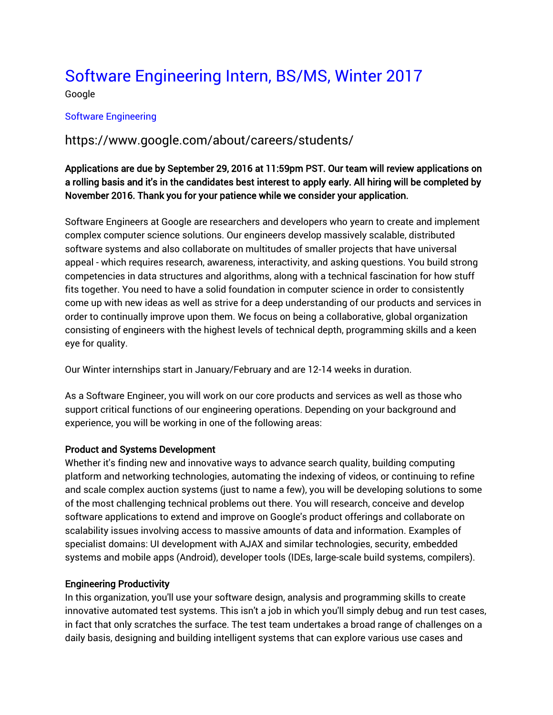# [Software Engineering Intern, BS/MS, Winter 2017](https://www.google.com/about/careers/jobs#!t=jo&jid=/google/software-engineering-intern-bs-ms-winter-1600-amphitheatre-pkwy-mountain-view-ca-756570224&)

Google

### [Software Engineering](https://www.google.com/about/careers/jobs#t=sq&q=j&li=20&l=false&jlo=en-US&jc=SOFTWARE_ENGINEERING&)

## https://www.google.com/about/careers/students/

## Applications are due by September 29, 2016 at 11:59pm PST. Our team will review applications on a rolling basis and it's in the candidates best interest to apply early. All hiring will be completed by November 2016. Thank you for your patience while we consider your application.

Software Engineers at Google are researchers and developers who yearn to create and implement complex computer science solutions. Our engineers develop massively scalable, distributed software systems and also collaborate on multitudes of smaller projects that have universal appeal - which requires research, awareness, interactivity, and asking questions. You build strong competencies in data structures and algorithms, along with a technical fascination for how stuff fits together. You need to have a solid foundation in computer science in order to consistently come up with new ideas as well as strive for a deep understanding of our products and services in order to continually improve upon them. We focus on being a collaborative, global organization consisting of engineers with the highest levels of technical depth, programming skills and a keen eye for quality.

Our Winter internships start in January/February and are 12-14 weeks in duration.

As a Software Engineer, you will work on our core products and services as well as those who support critical functions of our engineering operations. Depending on your background and experience, you will be working in one of the following areas:

#### Product and Systems Development

Whether it's finding new and innovative ways to advance search quality, building computing platform and networking technologies, automating the indexing of videos, or continuing to refine and scale complex auction systems (just to name a few), you will be developing solutions to some of the most challenging technical problems out there. You will research, conceive and develop software applications to extend and improve on Google's product offerings and collaborate on scalability issues involving access to massive amounts of data and information. Examples of specialist domains: UI development with AJAX and similar technologies, security, embedded systems and mobile apps (Android), developer tools (IDEs, large-scale build systems, compilers).

#### Engineering Productivity

In this organization, you'll use your software design, analysis and programming skills to create innovative automated test systems. This isn't a job in which you'll simply debug and run test cases, in fact that only scratches the surface. The test team undertakes a broad range of challenges on a daily basis, designing and building intelligent systems that can explore various use cases and